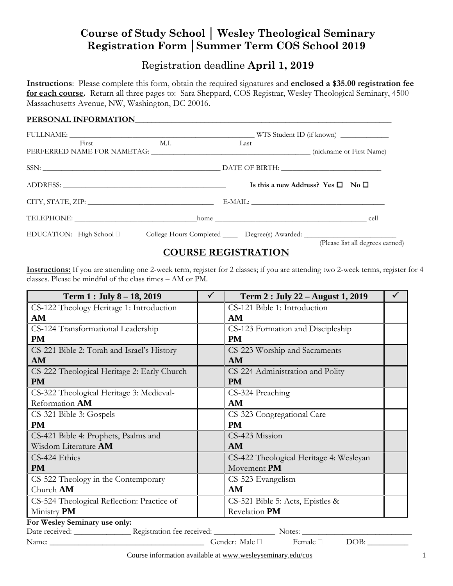# **Course of Study School │ Wesley Theological Seminary Registration Form │Summer Term COS School 2019**

## Registration deadline **April 1, 2019**

**Instructions**: Please complete this form, obtain the required signatures and **enclosed a \$35.00 registration fee for each course.** Return all three pages to: Sara Sheppard, COS Registrar, Wesley Theological Seminary, 4500 Massachusetts Avenue, NW, Washington, DC 20016.

### PERSONAL INFORMATION

| First                                                                                               | M.I. | Last |                                                   |  |
|-----------------------------------------------------------------------------------------------------|------|------|---------------------------------------------------|--|
|                                                                                                     |      |      |                                                   |  |
|                                                                                                     |      |      | Is this a new Address? Yes $\square$ No $\square$ |  |
| CITY, STATE, ZIP: University of the CITY, STATE, ZIP:                                               |      |      |                                                   |  |
|                                                                                                     |      |      |                                                   |  |
| EDUCATION: High School D College Hours Completed Degree(s) Awarded: 2000 COLLEGATION: High School D |      |      | (Please list all degrees earned)                  |  |

## **COURSE REGISTRATION**

**Instructions:** If you are attending one 2-week term, register for 2 classes; if you are attending two 2-week terms, register for 4 classes. Please be mindful of the class times – AM or PM.

| Term 1 : July 8 - 18, 2019                  | $\checkmark$ | Term 2 : July 22 - August 1, 2019          | $\checkmark$ |
|---------------------------------------------|--------------|--------------------------------------------|--------------|
| CS-122 Theology Heritage 1: Introduction    |              | CS-121 Bible 1: Introduction               |              |
| AM                                          |              | AM                                         |              |
| CS-124 Transformational Leadership          |              | CS-123 Formation and Discipleship          |              |
| <b>PM</b>                                   |              | <b>PM</b>                                  |              |
| CS-221 Bible 2: Torah and Israel's History  |              | CS-223 Worship and Sacraments              |              |
| <b>AM</b>                                   |              | AM                                         |              |
| CS-222 Theological Heritage 2: Early Church |              | CS-224 Administration and Polity           |              |
| <b>PM</b>                                   |              | <b>PM</b>                                  |              |
| CS-322 Theological Heritage 3: Medieval-    |              | CS-324 Preaching                           |              |
| Reformation AM                              |              | AM                                         |              |
| CS-321 Bible 3: Gospels                     |              | CS-323 Congregational Care                 |              |
| <b>PM</b>                                   |              | <b>PM</b>                                  |              |
| CS-421 Bible 4: Prophets, Psalms and        |              | CS-423 Mission                             |              |
| Wisdom Literature AM                        |              | AM                                         |              |
| CS-424 Ethics                               |              | CS-422 Theological Heritage 4: Wesleyan    |              |
| <b>PM</b>                                   |              | Movement PM                                |              |
| CS-522 Theology in the Contemporary         |              | CS-523 Evangelism                          |              |
| Church AM                                   |              | AM                                         |              |
| CS-524 Theological Reflection: Practice of  |              | CS-521 Bible 5: Acts, Epistles &           |              |
| Ministry PM                                 |              | Revelation PM                              |              |
| For Wesley Seminary use only:               |              |                                            |              |
|                                             |              |                                            |              |
| Name: Name:                                 |              | Gender: Male □<br>Female $\square$<br>DOB: |              |

Course information available at www.wesleyseminary.edu/cos 1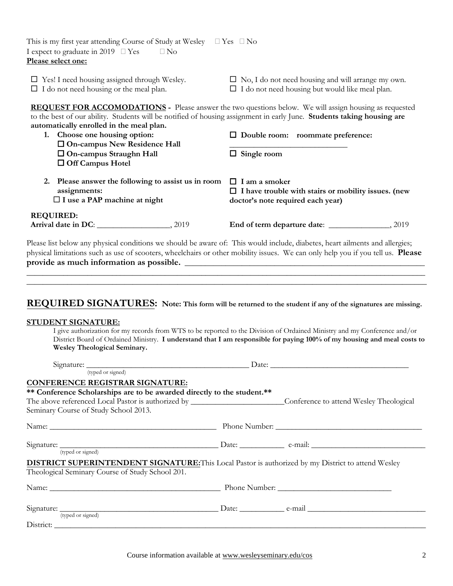| This is my first year attending Course of Study at Wesley $\Box$ Yes $\Box$ No<br>I expect to graduate in 2019 $\Box$ Yes<br>$\Box$ No<br>Please select one:                                                                                                                                                                                                                                                   |                                                                                                                         |
|----------------------------------------------------------------------------------------------------------------------------------------------------------------------------------------------------------------------------------------------------------------------------------------------------------------------------------------------------------------------------------------------------------------|-------------------------------------------------------------------------------------------------------------------------|
| $\square$ Yes! I need housing assigned through Wesley.<br>$\Box$ I do not need housing or the meal plan.                                                                                                                                                                                                                                                                                                       | $\Box$ No, I do not need housing and will arrange my own.<br>$\Box$ I do not need housing but would like meal plan.     |
| <b>REQUEST FOR ACCOMODATIONS</b> - Please answer the two questions below. We will assign housing as requested<br>to the best of our ability. Students will be notified of housing assignment in early June. Students taking housing are<br>automatically enrolled in the meal plan.<br>1. Choose one housing option:<br>□ On-campus New Residence Hall<br>□ On-campus Straughn Hall<br>$\Box$ Off Campus Hotel | $\Box$ Double room: roommate preference:<br>$\Box$ Single room                                                          |
| Please answer the following to assist us in room<br>2.<br>assignments:<br>$\Box$ I use a PAP machine at night                                                                                                                                                                                                                                                                                                  | $\Box$ I am a smoker<br>$\Box$ I have trouble with stairs or mobility issues. (new<br>doctor's note required each year) |
| <b>REQUIRED:</b>                                                                                                                                                                                                                                                                                                                                                                                               |                                                                                                                         |
| Please list below any physical conditions we should be aware of: This would include, diabetes, heart ailments and allergies;<br>physical limitations such as use of scooters, wheelchairs or other mobility issues. We can only help you if you tell us. Please                                                                                                                                                |                                                                                                                         |
| REQUIRED SIGNATURES: Note: This form will be returned to the student if any of the signatures are missing.                                                                                                                                                                                                                                                                                                     |                                                                                                                         |

#### **STUDENT SIGNATURE:**

I give authorization for my records from WTS to be reported to the Division of Ordained Ministry and my Conference and/or District Board of Ordained Ministry. **I understand that I am responsible for paying 100% of my housing and meal costs to Wesley Theological Seminary.**

| (typed or signed)                                                                                                     |  |
|-----------------------------------------------------------------------------------------------------------------------|--|
| <b>CONFERENCE REGISTRAR SIGNATURE:</b>                                                                                |  |
| ** Conference Scholarships are to be awarded directly to the student.**                                               |  |
| The above referenced Local Pastor is authorized by ___________________________Conference to attend Wesley Theological |  |
| Seminary Course of Study School 2013.                                                                                 |  |
|                                                                                                                       |  |
|                                                                                                                       |  |
| (typed or signed)                                                                                                     |  |
| DISTRICT SUPERINTENDENT SIGNATURE: This Local Pastor is authorized by my District to attend Wesley                    |  |
| Theological Seminary Course of Study School 201.                                                                      |  |
|                                                                                                                       |  |
| Signature: <u>(typed or signed)</u> Date: <u>Date:</u> e-mail e-mail                                                  |  |
|                                                                                                                       |  |